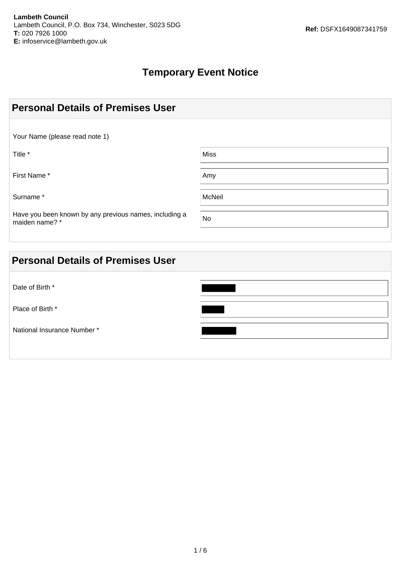### **Temporary Event Notice**

| <b>Personal Details of Premises User</b>                                 |               |
|--------------------------------------------------------------------------|---------------|
| Your Name (please read note 1)                                           |               |
| Title *                                                                  | <b>Miss</b>   |
| First Name*                                                              | Amy           |
| Surname*                                                                 | <b>McNeil</b> |
| Have you been known by any previous names, including a<br>maiden name? * | No            |

| <b>Personal Details of Premises User</b> |  |
|------------------------------------------|--|
| Date of Birth *                          |  |
| Place of Birth *                         |  |
| National Insurance Number *              |  |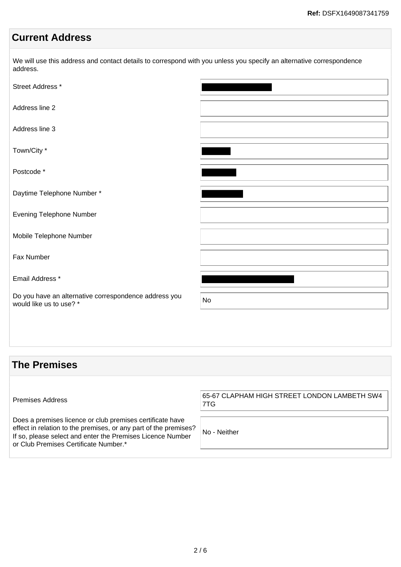#### **Current Address**

We will use this address and contact details to correspond with you unless you specify an alternative correspondence address.

| Street Address *                                                                 |    |
|----------------------------------------------------------------------------------|----|
| Address line 2                                                                   |    |
| Address line 3                                                                   |    |
| Town/City *                                                                      |    |
| Postcode*                                                                        |    |
| Daytime Telephone Number*                                                        |    |
| Evening Telephone Number                                                         |    |
| Mobile Telephone Number                                                          |    |
| Fax Number                                                                       |    |
| Email Address *                                                                  |    |
| Do you have an alternative correspondence address you<br>would like us to use? * | No |
|                                                                                  |    |

#### **The Premises**

Premises Address 65-67 CLAPHAM HIGH STREET LONDON LAMBETH SW4 7TG Does a premises licence or club premises certificate have effect in relation to the premises, or any part of the premises? If so, please select and enter the Premises Licence Number or Club Premises Certificate Number.\* No - Neither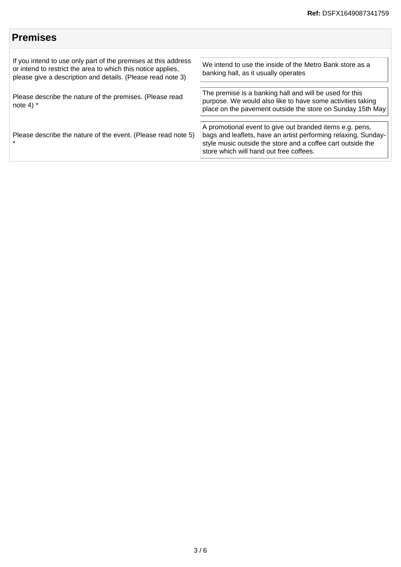## **Premises**

| If you intend to use only part of the premises at this address<br>or intend to restrict the area to which this notice applies,<br>please give a description and details. (Please read note 3) | We intend to use the inside of the Metro Bank store as a<br>banking hall, as it usually operates                                                                                                                                     |
|-----------------------------------------------------------------------------------------------------------------------------------------------------------------------------------------------|--------------------------------------------------------------------------------------------------------------------------------------------------------------------------------------------------------------------------------------|
| Please describe the nature of the premises. (Please read<br>note 4) $*$                                                                                                                       | The premise is a banking hall and will be used for this<br>purpose. We would also like to have some activities taking<br>place on the pavement outside the store on Sunday 15th May                                                  |
| Please describe the nature of the event. (Please read note 5)                                                                                                                                 | A promotional event to give out branded items e.g. pens,<br>bags and leaflets, have an artist performing relaxing, Sunday-<br>style music outside the store and a coffee cart outside the<br>store which will hand out free coffees. |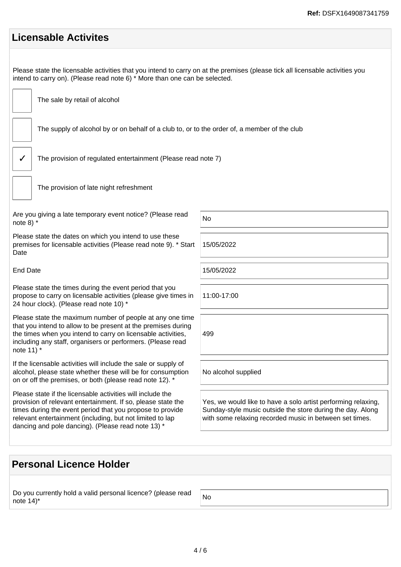| <b>Licensable Activites</b>                                                                                                                                                                                 |  |  |
|-------------------------------------------------------------------------------------------------------------------------------------------------------------------------------------------------------------|--|--|
| Please state the licensable activities that you intend to carry on at the premises (please tick all licensable activities you<br>intend to carry on). (Please read note 6) * More than one can be selected. |  |  |
| The sale by retail of alcohol                                                                                                                                                                               |  |  |
| The supply of alcohol by or on behalf of a club to, or to the order of, a member of the club                                                                                                                |  |  |
| The provision of regulated entertainment (Please read note 7)                                                                                                                                               |  |  |
| The provision of late night refreshment                                                                                                                                                                     |  |  |
| No                                                                                                                                                                                                          |  |  |
| 15/05/2022                                                                                                                                                                                                  |  |  |
| 15/05/2022                                                                                                                                                                                                  |  |  |
| 11:00-17:00                                                                                                                                                                                                 |  |  |
| 499                                                                                                                                                                                                         |  |  |
| No alcohol supplied                                                                                                                                                                                         |  |  |
| Yes, we would like to have a solo artist performing relaxing,<br>Sunday-style music outside the store during the day. Along<br>with some relaxing recorded music in between set times.                      |  |  |
|                                                                                                                                                                                                             |  |  |

# **Personal Licence Holder**

| Do you currently hold a valid personal licence? (please read | $\overline{\phantom{a}}$ No |
|--------------------------------------------------------------|-----------------------------|
| note $14$ <sup>*</sup>                                       |                             |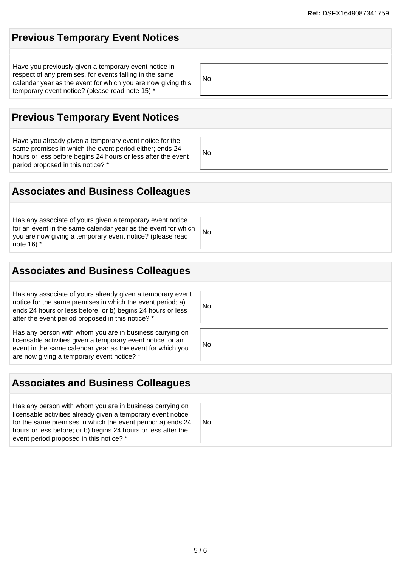## **Previous Temporary Event Notices**

Have you previously given a temporary event notice in respect of any premises, for events falling in the same calendar year as the event for which you are now giving this temporary event notice? (please read note 15) \*

**Previous Temporary Event Notices**

Have you already given a temporary event notice for the same premises in which the event period either; ends 24 hours or less before begins 24 hours or less after the event period proposed in this notice? \*

#### **Associates and Business Colleagues**

Has any associate of yours given a temporary event notice for an event in the same calendar year as the event for which you are now giving a temporary event notice? (please read note 16) \*

#### **Associates and Business Colleagues**

Has any associate of yours already given a temporary event notice for the same premises in which the event period; a) ends 24 hours or less before; or b) begins 24 hours or less after the event period proposed in this notice? \*

Has any person with whom you are in business carrying on licensable activities given a temporary event notice for an event in the same calendar year as the event for which you are now giving a temporary event notice? \*

#### **Associates and Business Colleagues**

Has any person with whom you are in business carrying on licensable activities already given a temporary event notice for the same premises in which the event period: a) ends 24 hours or less before; or b) begins 24 hours or less after the event period proposed in this notice? \*

5 / 6

No No

No

No

No

No